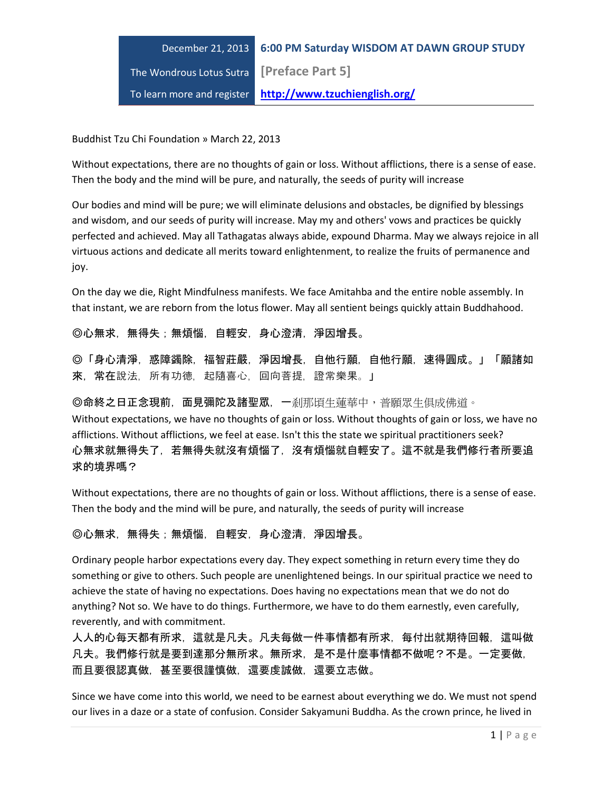

Buddhist Tzu Chi Foundation » March 22, 2013

Without expectations, there are no thoughts of gain or loss. Without afflictions, there is a sense of ease. Then the body and the mind will be pure, and naturally, the seeds of purity will increase

Our bodies and mind will be pure; we will eliminate delusions and obstacles, be dignified by blessings and wisdom, and our seeds of purity will increase. May my and others' vows and practices be quickly perfected and achieved. May all Tathagatas always abide, expound Dharma. May we always rejoice in all virtuous actions and dedicate all merits toward enlightenment, to realize the fruits of permanence and joy.

On the day we die, Right Mindfulness manifests. We face Amitahba and the entire noble assembly. In that instant, we are reborn from the lotus flower. May all sentient beings quickly attain Buddhahood.

◎心無求,無得失;無煩惱,自輕安,身心澄清,淨因增長。

◎「身心清淨,惑障蠲除,福智莊嚴,淨因增長,自他行願,自他行願,速得圓成。」「願諸如 來,常在說法,所有功德,起隨喜心,回向菩提,證常樂果。」

◎命終之日正念現前,面見彌陀及諸聖眾,一剎那頃生蓮華中,普願眾生俱成佛道。

Without expectations, we have no thoughts of gain or loss. Without thoughts of gain or loss, we have no afflictions. Without afflictions, we feel at ease. Isn't this the state we spiritual practitioners seek? 心無求就無得失了,若無得失就沒有煩惱了,沒有煩惱就自輕安了。這不就是我們修行者所要追 求的境界嗎?

Without expectations, there are no thoughts of gain or loss. Without afflictions, there is a sense of ease. Then the body and the mind will be pure, and naturally, the seeds of purity will increase

◎心無求,無得失;無煩惱,自輕安,身心澄清,淨因增長。

Ordinary people harbor expectations every day. They expect something in return every time they do something or give to others. Such people are unenlightened beings. In our spiritual practice we need to achieve the state of having no expectations. Does having no expectations mean that we do not do anything? Not so. We have to do things. Furthermore, we have to do them earnestly, even carefully, reverently, and with commitment.

人人的心每天都有所求,這就是凡夫。凡夫每做一件事情都有所求,每付出就期待回報,這叫做 凡夫。我們修行就是要到達那分無所求。無所求,是不是什麼事情都不做呢?不是。一定要做, 而且要很認真做,甚至要很謹慎做,還要虔誠做,還要立志做。

Since we have come into this world, we need to be earnest about everything we do. We must not spend our lives in a daze or a state of confusion. Consider Sakyamuni Buddha. As the crown prince, he lived in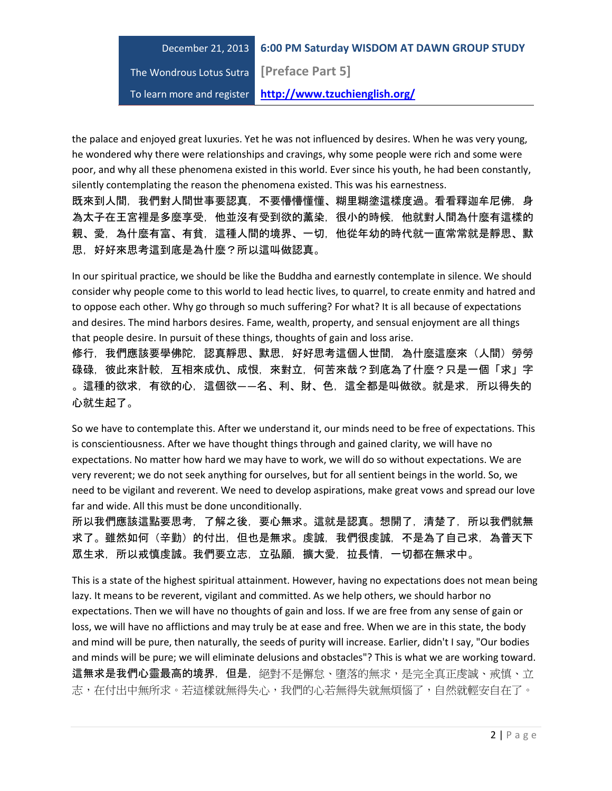The Wondrous Lotus Sutra **[Preface Part 5]**

To learn more and register **http://www.tzuchienglish.org/**

the palace and enjoyed great luxuries. Yet he was not influenced by desires. When he was very young, he wondered why there were relationships and cravings, why some people were rich and some were poor, and why all these phenomena existed in this world. Ever since his youth, he had been constantly, silently contemplating the reason the phenomena existed. This was his earnestness.

既來到人間,我們對人間世事要認真,不要懵懵懂懂、糊里糊塗這樣度過。看看釋迦牟尼佛,身 為太子在王宮裡是多麼享受,他並沒有受到欲的薰染,很小的時候,他就對人間為什麼有這樣的 親、愛,為什麼有富、有貧,這種人間的境界、一切,他從年幼的時代就一直常常就是靜思、默 思,好好來思考這到底是為什麼?所以這叫做認真。

In our spiritual practice, we should be like the Buddha and earnestly contemplate in silence. We should consider why people come to this world to lead hectic lives, to quarrel, to create enmity and hatred and to oppose each other. Why go through so much suffering? For what? It is all because of expectations and desires. The mind harbors desires. Fame, wealth, property, and sensual enjoyment are all things that people desire. In pursuit of these things, thoughts of gain and loss arise.

修行,我們應該要學佛陀,認真靜思、默思,好好思考這個人世間,為什麼這麼來(人間)勞勞 碌碌,彼此來計較,互相來成仇、成恨,來對立,何苦來哉?到底為了什麼?只是一個「求」字 。這種的欲求,有欲的心,這個欲——名、利、財、色,這全都是叫做欲。就是求,所以得失的 心就生起了。

So we have to contemplate this. After we understand it, our minds need to be free of expectations. This is conscientiousness. After we have thought things through and gained clarity, we will have no expectations. No matter how hard we may have to work, we will do so without expectations. We are very reverent; we do not seek anything for ourselves, but for all sentient beings in the world. So, we need to be vigilant and reverent. We need to develop aspirations, make great vows and spread our love far and wide. All this must be done unconditionally.

所以我們應該這點要思考,了解之後,要心無求。這就是認真。想開了,清楚了,所以我們就無 求了。雖然如何(辛勤)的付出,但也是無求。虔誠,我們很虔誠,不是為了自己求,為普天下 眾生求,所以戒慎虔誠。我們要立志,立弘願,擴大愛,拉長情,一切都在無求中。

This is a state of the highest spiritual attainment. However, having no expectations does not mean being lazy. It means to be reverent, vigilant and committed. As we help others, we should harbor no expectations. Then we will have no thoughts of gain and loss. If we are free from any sense of gain or loss, we will have no afflictions and may truly be at ease and free. When we are in this state, the body and mind will be pure, then naturally, the seeds of purity will increase. Earlier, didn't I say, "Our bodies and minds will be pure; we will eliminate delusions and obstacles"? This is what we are working toward. 這無求是我們心靈最高的境界,但是,絕對不是懈怠、墮落的無求,是完全真正虔誠、戒慎、立 志,在付出中無所求。若這樣就無得失心,我們的心若無得失就無煩惱了,自然就輕安自在了。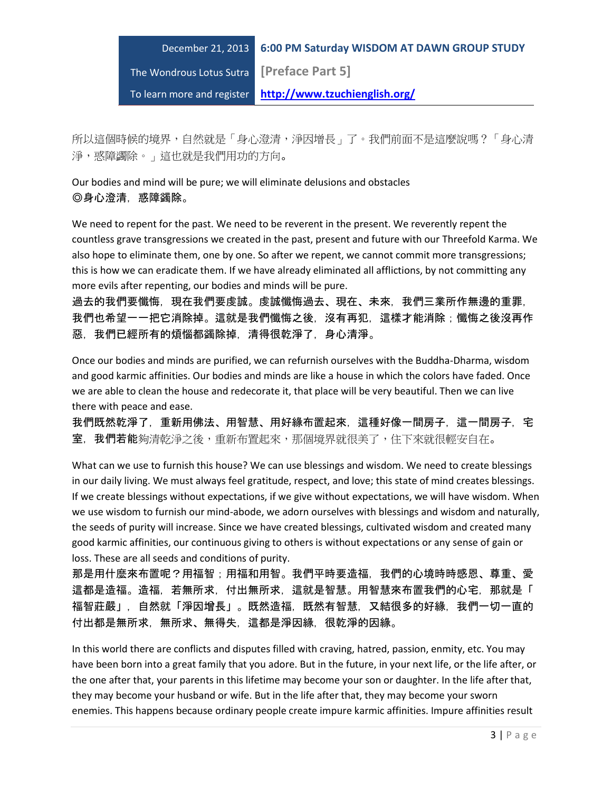# December 21, 2013 **6:00 PM Saturday WISDOM AT DAWN GROUP STUDY** The Wondrous Lotus Sutra **[Preface Part 5]** To learn more and register **http://www.tzuchienglish.org/**

所以這個時候的境界,自然就是「身心澄清,淨因增長」了。我們前面不是這麼說嗎?「身心清 淨,惑障蠲除。」這也就是我們用功的方向。

Our bodies and mind will be pure; we will eliminate delusions and obstacles ◎身心澄清,惑障蠲除。

We need to repent for the past. We need to be reverent in the present. We reverently repent the countless grave transgressions we created in the past, present and future with our Threefold Karma. We also hope to eliminate them, one by one. So after we repent, we cannot commit more transgressions; this is how we can eradicate them. If we have already eliminated all afflictions, by not committing any more evils after repenting, our bodies and minds will be pure.

過去的我們要懺悔,現在我們要虔誠。虔誠懺悔過去、現在、未來,我們三業所作無邊的重罪, 我們也希望一一把它消除掉。這就是我們懺悔之後,沒有再犯,這樣才能消除;懺悔之後沒再作 惡,我們已經所有的煩惱都蠲除掉,清得很乾淨了,身心清淨。

Once our bodies and minds are purified, we can refurnish ourselves with the Buddha-Dharma, wisdom and good karmic affinities. Our bodies and minds are like a house in which the colors have faded. Once we are able to clean the house and redecorate it, that place will be very beautiful. Then we can live there with peace and ease.

我們既然乾淨了,重新用佛法、用智慧、用好緣布置起來,這種好像一間房子,這一間房子,宅 室, 我們若能夠清乾淨之後,重新布置起來,那個境界就很美了,住下來就很輕安自在。

What can we use to furnish this house? We can use blessings and wisdom. We need to create blessings in our daily living. We must always feel gratitude, respect, and love; this state of mind creates blessings. If we create blessings without expectations, if we give without expectations, we will have wisdom. When we use wisdom to furnish our mind-abode, we adorn ourselves with blessings and wisdom and naturally, the seeds of purity will increase. Since we have created blessings, cultivated wisdom and created many good karmic affinities, our continuous giving to others is without expectations or any sense of gain or loss. These are all seeds and conditions of purity.

那是用什麼來布置呢?用福智;用福和用智。我們平時要造福,我們的心境時時感恩、尊重、愛 這都是造福。造福,若無所求,付出無所求,這就是智慧。用智慧來布置我們的心宅,那就是「 福智莊嚴」,自然就「淨因增長」。既然造福,既然有智慧,又結很多的好緣,我們一切一直的 付出都是無所求,無所求、無得失,這都是淨因緣,很乾淨的因緣。

In this world there are conflicts and disputes filled with craving, hatred, passion, enmity, etc. You may have been born into a great family that you adore. But in the future, in your next life, or the life after, or the one after that, your parents in this lifetime may become your son or daughter. In the life after that, they may become your husband or wife. But in the life after that, they may become your sworn enemies. This happens because ordinary people create impure karmic affinities. Impure affinities result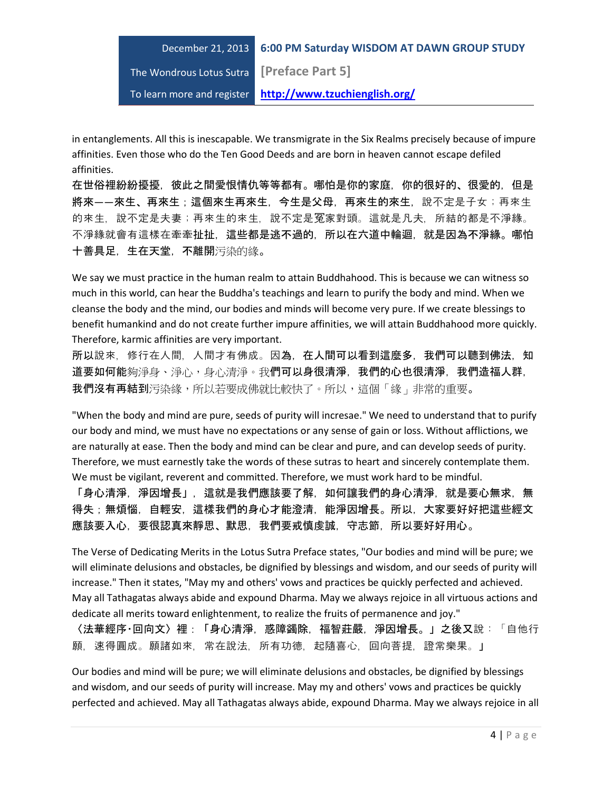The Wondrous Lotus Sutra **[Preface Part 5]**

To learn more and register **http://www.tzuchienglish.org/**

in entanglements. All this is inescapable. We transmigrate in the Six Realms precisely because of impure affinities. Even those who do the Ten Good Deeds and are born in heaven cannot escape defiled affinities.

在世俗裡紛紛擾擾,彼此之間愛恨情仇等等都有。哪怕是你的家庭,你的很好的、很愛的,但是 將來——來生、再來生;這個來生再來生,今生是父母,再來生的來生,說不定是子女;再來生 的來生,說不定是夫妻;再來生的來生,說不定是冤家對頭。這就是凡夫,所結的都是不淨緣。 不淨緣就會有這樣在牽牽扯扯,這些都是逃不過的,所以在六道中輪迴,就是因為不淨緣。哪怕 十善具足,生在天堂,不離開污染的緣。

We say we must practice in the human realm to attain Buddhahood. This is because we can witness so much in this world, can hear the Buddha's teachings and learn to purify the body and mind. When we cleanse the body and the mind, our bodies and minds will become very pure. If we create blessings to benefit humankind and do not create further impure affinities, we will attain Buddhahood more quickly. Therefore, karmic affinities are very important.

所以說來,修行在人間,人間才有佛成。因為,在人間可以看到這麼多,我們可以聽到佛法,知 道要如何能夠淨身、淨心,身心清淨。我們可以身很清淨,我們的心也很清淨,我們造福人群, 我們沒有再結到污染緣,所以若要成佛就比較快了。所以,這個「緣」非常的重要。

"When the body and mind are pure, seeds of purity will incresae." We need to understand that to purify our body and mind, we must have no expectations or any sense of gain or loss. Without afflictions, we are naturally at ease. Then the body and mind can be clear and pure, and can develop seeds of purity. Therefore, we must earnestly take the words of these sutras to heart and sincerely contemplate them. We must be vigilant, reverent and committed. Therefore, we must work hard to be mindful.

「身心清淨,淨因增長」,這就是我們應該要了解,如何讓我們的身心清淨,就是要心無求,無 得失;無煩惱,自輕安,這樣我們的身心才能澄清,能淨因增長。所以,大家要好好把這些經文 應該要入心,要很認真來靜思、默思,我們要戒慎虔誠,守志節,所以要好好用心。

The Verse of Dedicating Merits in the Lotus Sutra Preface states, "Our bodies and mind will be pure; we will eliminate delusions and obstacles, be dignified by blessings and wisdom, and our seeds of purity will increase." Then it states, "May my and others' vows and practices be quickly perfected and achieved. May all Tathagatas always abide and expound Dharma. May we always rejoice in all virtuous actions and dedicate all merits toward enlightenment, to realize the fruits of permanence and joy."

〈法華經序‧回向文〉裡:「身心清淨,惑障蠲除,福智莊嚴,淨因增長。」之後又說:「自他行 願, 速得圓成。願諸如來, 常在說法, 所有功德, 起隨喜心, 回向菩提, 證常樂果。」

Our bodies and mind will be pure; we will eliminate delusions and obstacles, be dignified by blessings and wisdom, and our seeds of purity will increase. May my and others' vows and practices be quickly perfected and achieved. May all Tathagatas always abide, expound Dharma. May we always rejoice in all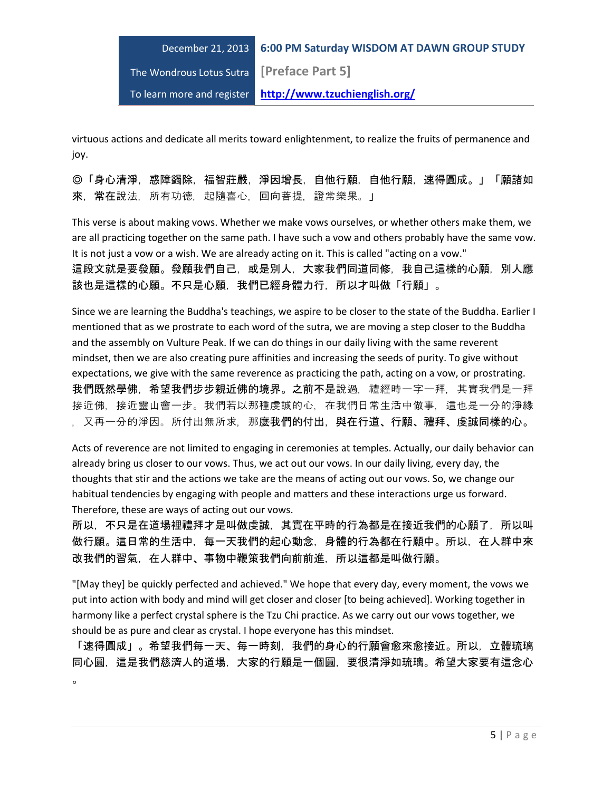# December 21, 2013 **6:00 PM Saturday WISDOM AT DAWN GROUP STUDY** The Wondrous Lotus Sutra **[Preface Part 5]** To learn more and register **http://www.tzuchienglish.org/**

virtuous actions and dedicate all merits toward enlightenment, to realize the fruits of permanence and joy.

◎「身心清淨,惑障蠲除,福智莊嚴,淨因增長,自他行願,自他行願,速得圓成。」「願諸如 来, 常在說法, 所有功德, 起隨喜心, 回向菩提, 證常樂果。」

This verse is about making vows. Whether we make vows ourselves, or whether others make them, we are all practicing together on the same path. I have such a vow and others probably have the same vow. It is not just a vow or a wish. We are already acting on it. This is called "acting on a vow." 這段文就是要發願。發願我們自己,或是別人,大家我們同道同修,我自己這樣的心願,別人應 該也是這樣的心願。不只是心願,我們已經身體力行,所以才叫做「行願」。

Since we are learning the Buddha's teachings, we aspire to be closer to the state of the Buddha. Earlier I mentioned that as we prostrate to each word of the sutra, we are moving a step closer to the Buddha and the assembly on Vulture Peak. If we can do things in our daily living with the same reverent mindset, then we are also creating pure affinities and increasing the seeds of purity. To give without expectations, we give with the same reverence as practicing the path, acting on a vow, or prostrating. 我們既然學佛,希望我們步步親近佛的境界。之前不是說過,禮經時一字一拜,其實我們是一拜 接近佛,接近靈山會一步。我們若以那種虔誠的心,在我們日常生活中做事,這也是一分的淨緣 , 又再一分的淨因。所付出無所求, 那麼我們的付出, 與在行道、行願、禮拜、虔誠同樣的心。

Acts of reverence are not limited to engaging in ceremonies at temples. Actually, our daily behavior can already bring us closer to our vows. Thus, we act out our vows. In our daily living, every day, the thoughts that stir and the actions we take are the means of acting out our vows. So, we change our habitual tendencies by engaging with people and matters and these interactions urge us forward. Therefore, these are ways of acting out our vows.

所以,不只是在道場裡禮拜才是叫做虔誠,其實在平時的行為都是在接近我們的心願了,所以叫 做行願。這日常的生活中,每一天我們的起心動念,身體的行為都在行願中。所以,在人群中來 改我們的習氣,在人群中、事物中鞭策我們向前前進,所以這都是叫做行願。

"[May they] be quickly perfected and achieved." We hope that every day, every moment, the vows we put into action with body and mind will get closer and closer [to being achieved]. Working together in harmony like a perfect crystal sphere is the Tzu Chi practice. As we carry out our vows together, we should be as pure and clear as crystal. I hope everyone has this mindset.

「速得圓成」。希望我們每一天、每一時刻,我們的身心的行願會愈來愈接近。所以,立體琉璃 同心圓,這是我們慈濟人的道場,大家的行願是一個圓,要很清淨如琉璃。希望大家要有這念心  $\sim$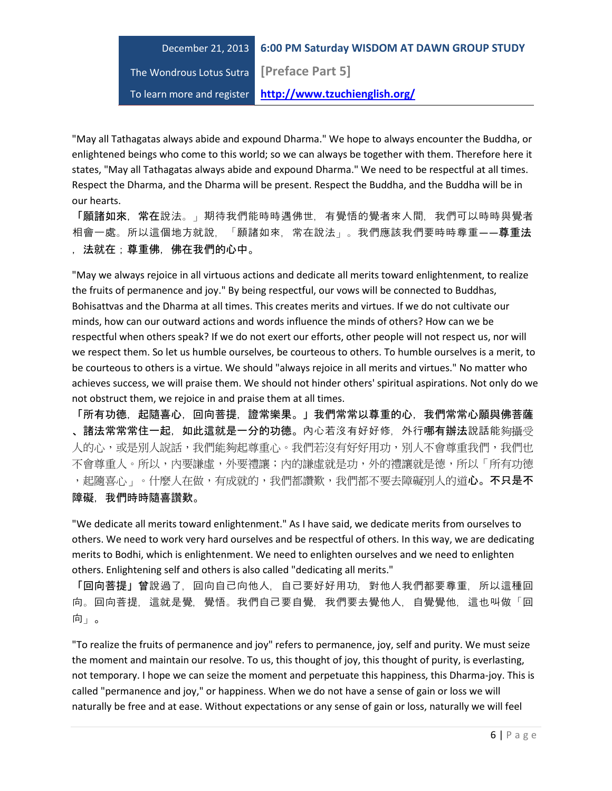The Wondrous Lotus Sutra **[Preface Part 5]**

To learn more and register **http://www.tzuchienglish.org/**

"May all Tathagatas always abide and expound Dharma." We hope to always encounter the Buddha, or enlightened beings who come to this world; so we can always be together with them. Therefore here it states, "May all Tathagatas always abide and expound Dharma." We need to be respectful at all times. Respect the Dharma, and the Dharma will be present. Respect the Buddha, and the Buddha will be in our hearts.

「願諸如來,常在說法。」期待我們能時時遇佛世,有覺悟的覺者來人間,我們可以時時與覺者 相會一處。所以這個地方就說,「願諸如來,常在說法」。我們應該我們要時時尊重——尊重法 ,法就在;尊重佛,佛在我們的心中。

"May we always rejoice in all virtuous actions and dedicate all merits toward enlightenment, to realize the fruits of permanence and joy." By being respectful, our vows will be connected to Buddhas, Bohisattvas and the Dharma at all times. This creates merits and virtues. If we do not cultivate our minds, how can our outward actions and words influence the minds of others? How can we be respectful when others speak? If we do not exert our efforts, other people will not respect us, nor will we respect them. So let us humble ourselves, be courteous to others. To humble ourselves is a merit, to be courteous to others is a virtue. We should "always rejoice in all merits and virtues." No matter who achieves success, we will praise them. We should not hinder others' spiritual aspirations. Not only do we not obstruct them, we rejoice in and praise them at all times.

「所有功德,起隨喜心,回向菩提,證常樂果。」我們常常以尊重的心,我們常常心願與佛菩薩 、諸法常常常住一起,如此這就是一分的功德。內心若沒有好好修,外行哪有辦法說話能夠攝受 人的心,或是別人說話,我們能夠起尊重心。我們若沒有好好用功,別人不會尊重我們,我們也 不會尊重人。所以,內要謙虛,外要禮讓;內的謙虛就是功,外的禮讓就是德,所以「所有功德 ,起隨喜心<sub>」</sub>。什麼人在做,有成就的,我們都讚歎,我們都不要去障礙別人的道**心。不只是不** 障礙,我們時時隨喜讚歎。

"We dedicate all merits toward enlightenment." As I have said, we dedicate merits from ourselves to others. We need to work very hard ourselves and be respectful of others. In this way, we are dedicating merits to Bodhi, which is enlightenment. We need to enlighten ourselves and we need to enlighten others. Enlightening self and others is also called "dedicating all merits."

「回向菩提」曾說過了,回向自己向他人,自己要好好用功,對他人我們都要尊重,所以這種回 向。回向菩提,這就是覺,覺悟。我們自己要自覺,我們要去覺他人,自覺覺他,這也叫做「回 向」。

"To realize the fruits of permanence and joy" refers to permanence, joy, self and purity. We must seize the moment and maintain our resolve. To us, this thought of joy, this thought of purity, is everlasting, not temporary. I hope we can seize the moment and perpetuate this happiness, this Dharma-joy. This is called "permanence and joy," or happiness. When we do not have a sense of gain or loss we will naturally be free and at ease. Without expectations or any sense of gain or loss, naturally we will feel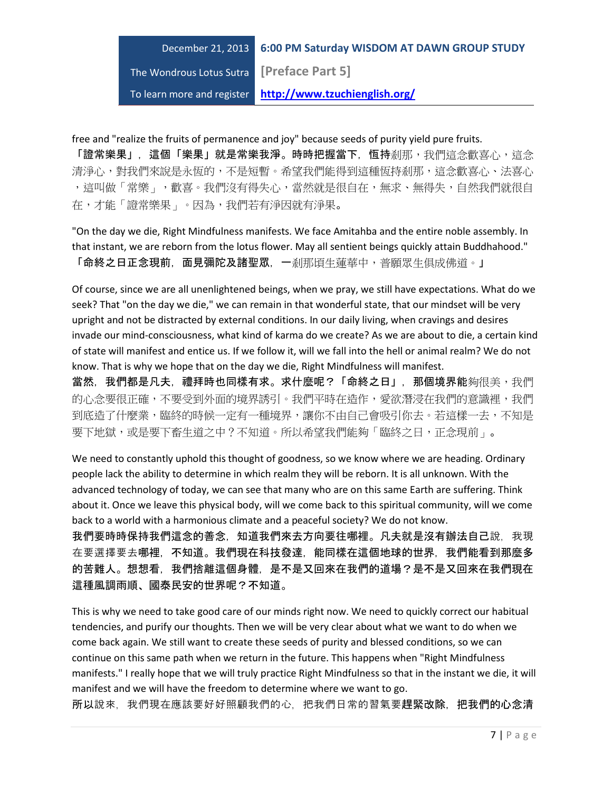The Wondrous Lotus Sutra **[Preface Part 5]**

To learn more and register **http://www.tzuchienglish.org/**

free and "realize the fruits of permanence and joy" because seeds of purity yield pure fruits.

「證常樂果」,這個「樂果」就是常樂我淨。時時把握當下,恒持剎那,我們這念歡喜心,這念 清淨心,對我們來說是永恆的,不是短暫。希望我們能得到這種恆持剎那,這念歡喜心、法喜心 ,這叫做「常樂」,歡喜。我們沒有得失心,當然就是很自在,無求、無得失,自然我們就很自 在,才能「證常樂果」。因為,我們若有淨因就有淨果。

"On the day we die, Right Mindfulness manifests. We face Amitahba and the entire noble assembly. In that instant, we are reborn from the lotus flower. May all sentient beings quickly attain Buddhahood." 「命終之日正念現前,面見彌陀及諸聖眾,一剎那頃生蓮華中,普願眾生俱成佛道。」

Of course, since we are all unenlightened beings, when we pray, we still have expectations. What do we seek? That "on the day we die," we can remain in that wonderful state, that our mindset will be very upright and not be distracted by external conditions. In our daily living, when cravings and desires invade our mind-consciousness, what kind of karma do we create? As we are about to die, a certain kind of state will manifest and entice us. If we follow it, will we fall into the hell or animal realm? We do not know. That is why we hope that on the day we die, Right Mindfulness will manifest.

當然,我們都是凡夫,禮拜時也同樣有求。求什麼呢?「命終之日」,那個境界能夠很美,我們 的心念要很正確,不要受到外面的境界誘引。我們平時在造作,愛欲潛浸在我們的意識裡,我們 到底造了什麼業,臨終的時候一定有一種境界,讓你不由自己會吸引你去。若這樣一去,不知是 要下地獄,或是要下畜生道之中?不知道。所以希望我們能夠「臨終之日,正念現前」。

We need to constantly uphold this thought of goodness, so we know where we are heading. Ordinary people lack the ability to determine in which realm they will be reborn. It is all unknown. With the advanced technology of today, we can see that many who are on this same Earth are suffering. Think about it. Once we leave this physical body, will we come back to this spiritual community, will we come back to a world with a harmonious climate and a peaceful society? We do not know.

我們要時時保持我們這念的善念,知道我們來去方向要往哪裡。凡夫就是沒有辦法自己說,我現 在要選擇要去哪裡,不知道。我們現在科技發達,能同樣在這個地球的世界,我們能看到那麼多 的苦難人。想想看,我們捨離這個身體,是不是又回來在我們的道場?是不是又回來在我們現在 這種風調雨順、國泰民安的世界呢?不知道。

This is why we need to take good care of our minds right now. We need to quickly correct our habitual tendencies, and purify our thoughts. Then we will be very clear about what we want to do when we come back again. We still want to create these seeds of purity and blessed conditions, so we can continue on this same path when we return in the future. This happens when "Right Mindfulness manifests." I really hope that we will truly practice Right Mindfulness so that in the instant we die, it will manifest and we will have the freedom to determine where we want to go.

所以說來,我們現在應該要好好照顧我們的心,把我們日常的習氣要趕緊改除,把我們的心念清